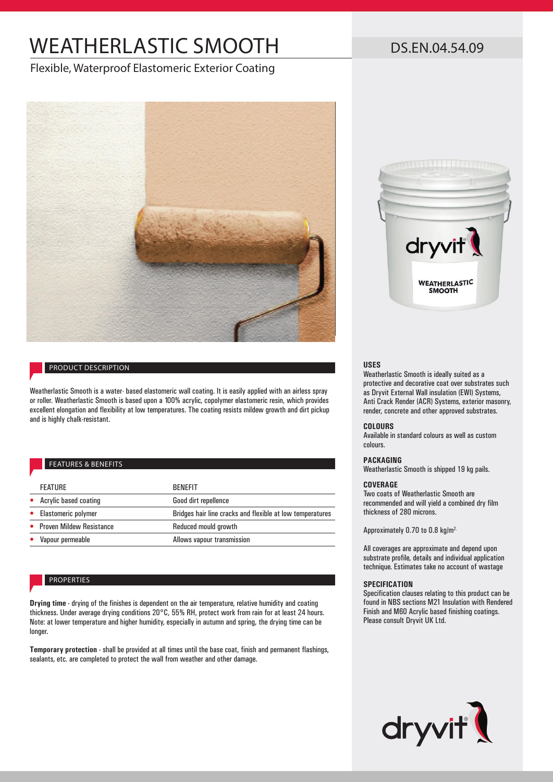# WEATHERLASTIC SMOOTH

## DS.EN.04.54.09

### Flexible, Waterproof Elastomeric Exterior Coating



### PRODUCT DESCRIPTION

Weatherlastic Smooth is a water- based elastomeric wall coating. It is easily applied with an airless spray or roller. Weatherlastic Smooth is based upon a 100% acrylic, copolymer elastomeric resin, which provides excellent elongation and flexibility at low temperatures. The coating resists mildew growth and dirt pickup and is highly chalk-resistant.

### FEATURES & BENEFITS

| <b>FEATURE</b>             | <b>BENFFIT</b>                                            |
|----------------------------|-----------------------------------------------------------|
| Acrylic based coating      | Good dirt repellence                                      |
| • Elastomeric polymer      | Bridges hair line cracks and flexible at low temperatures |
| • Proven Mildew Resistance | Reduced mould growth                                      |
| Vapour permeable           | Allows vapour transmission                                |

### PROPERTIES

**Drying time -** drying of the finishes is dependent on the air temperature, relative humidity and coating thickness. Under average drying conditions 20°C, 55% RH, protect work from rain for at least 24 hours. Note: at lower temperature and higher humidity, especially in autumn and spring, the drying time can be longer.

**Temporary protection -** shall be provided at all times until the base coat, finish and permanent flashings, sealants, etc. are completed to protect the wall from weather and other damage.



### **USES**

Weatherlastic Smooth is ideally suited as a protective and decorative coat over substrates such as Dryvit External Wall insulation (EWI) Systems, Anti Crack Render (ACR) Systems, exterior masonry, render, concrete and other approved substrates.

### **COLOURS**

Available in standard colours as well as custom colours.

### **PACKAGING**

Weatherlastic Smooth is shipped 19 kg pails.

### **COVERAGE**

Two coats of Weatherlastic Smooth are recommended and will yield a combined dry film thickness of 280 microns.

Approximately 0.70 to 0.8 kg/m<sup>2.</sup>

All coverages are approximate and depend upon substrate profile, details and individual application technique. Estimates take no account of wastage

### **SPECIFICATION**

Specification clauses relating to this product can be found in NBS sections M21 Insulation with Rendered Finish and M60 Acrylic based finishing coatings. Please consult Dryvit UK Ltd.